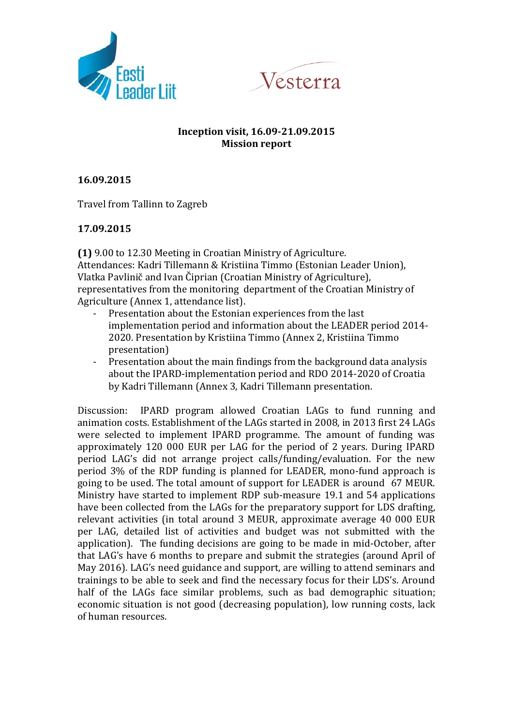



## **Inception visit, 16.09-21.09.2015 Mission report**

**16.09.2015**

Travel from Tallinn to Zagreb

## **17.09.2015**

**(1)** 9.00 to 12.30 Meeting in Croatian Ministry of Agriculture. Attendances: Kadri Tillemann & Kristiina Timmo (Estonian Leader Union), Vlatka Pavlinič and Ivan Čiprian (Croatian Ministry of Agriculture), representatives from the monitoring department of the Croatian Ministry of Agriculture (Annex 1, attendance list).

- Presentation about the Estonian experiences from the last implementation period and information about the LEADER period 2014- 2020. Presentation by Kristiina Timmo (Annex 2, Kristiina Timmo presentation)
- Presentation about the main findings from the background data analysis about the IPARD-implementation period and RDO 2014-2020 of Croatia by Kadri Tillemann (Annex 3, Kadri Tillemann presentation.

Discussion: IPARD program allowed Croatian LAGs to fund running and animation costs. Establishment of the LAGs started in 2008, in 2013 first 24 LAGs were selected to implement IPARD programme. The amount of funding was approximately 120 000 EUR per LAG for the period of 2 years. During IPARD period LAG's did not arrange project calls/funding/evaluation. For the new period 3% of the RDP funding is planned for LEADER, mono-fund approach is going to be used. The total amount of support for LEADER is around 67 MEUR. Ministry have started to implement RDP sub-measure 19.1 and 54 applications have been collected from the LAGs for the preparatory support for LDS drafting, relevant activities (in total around 3 MEUR, approximate average 40 000 EUR per LAG, detailed list of activities and budget was not submitted with the application). The funding decisions are going to be made in mid-October, after that LAG's have 6 months to prepare and submit the strategies (around April of May 2016). LAG's need guidance and support, are willing to attend seminars and trainings to be able to seek and find the necessary focus for their LDS's. Around half of the LAGs face similar problems, such as bad demographic situation; economic situation is not good (decreasing population), low running costs, lack of human resources.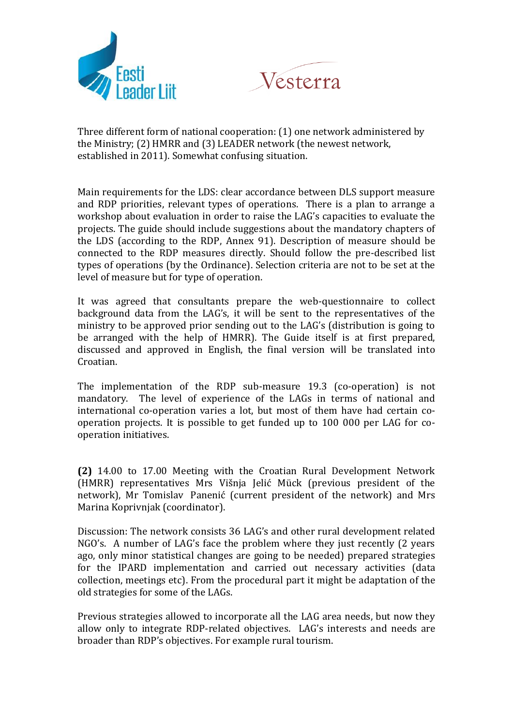



Three different form of national cooperation: (1) one network administered by the Ministry; (2) HMRR and (3) LEADER network (the newest network, established in 2011). Somewhat confusing situation.

Main requirements for the LDS: clear accordance between DLS support measure and RDP priorities, relevant types of operations. There is a plan to arrange a workshop about evaluation in order to raise the LAG's capacities to evaluate the projects. The guide should include suggestions about the mandatory chapters of the LDS (according to the RDP, Annex 91). Description of measure should be connected to the RDP measures directly. Should follow the pre-described list types of operations (by the Ordinance). Selection criteria are not to be set at the level of measure but for type of operation.

It was agreed that consultants prepare the web-questionnaire to collect background data from the LAG's, it will be sent to the representatives of the ministry to be approved prior sending out to the LAG's (distribution is going to be arranged with the help of HMRR). The Guide itself is at first prepared, discussed and approved in English, the final version will be translated into Croatian.

The implementation of the RDP sub-measure 19.3 (co-operation) is not mandatory. The level of experience of the LAGs in terms of national and international co-operation varies a lot, but most of them have had certain cooperation projects. It is possible to get funded up to 100 000 per LAG for cooperation initiatives.

**(2)** 14.00 to 17.00 Meeting with the Croatian Rural Development Network (HMRR) representatives Mrs Višnja Jelić Mück (previous president of the network), Mr Tomislav Panenić (current president of the network) and Mrs Marina Koprivnjak (coordinator).

Discussion: The network consists 36 LAG's and other rural development related NGO's. A number of LAG's face the problem where they just recently (2 years ago, only minor statistical changes are going to be needed) prepared strategies for the IPARD implementation and carried out necessary activities (data collection, meetings etc). From the procedural part it might be adaptation of the old strategies for some of the LAGs.

Previous strategies allowed to incorporate all the LAG area needs, but now they allow only to integrate RDP-related objectives. LAG's interests and needs are broader than RDP's objectives. For example rural tourism.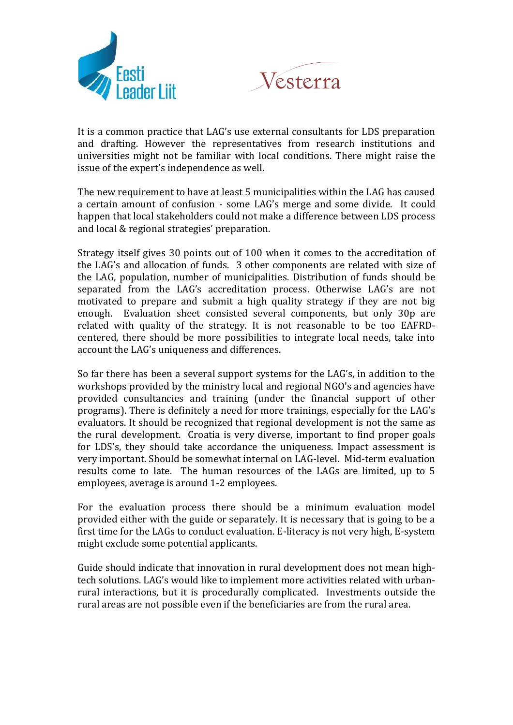



It is a common practice that LAG's use external consultants for LDS preparation and drafting. However the representatives from research institutions and universities might not be familiar with local conditions. There might raise the issue of the expert's independence as well.

The new requirement to have at least 5 municipalities within the LAG has caused a certain amount of confusion - some LAG's merge and some divide. It could happen that local stakeholders could not make a difference between LDS process and local & regional strategies' preparation.

Strategy itself gives 30 points out of 100 when it comes to the accreditation of the LAG's and allocation of funds. 3 other components are related with size of the LAG, population, number of municipalities. Distribution of funds should be separated from the LAG's accreditation process. Otherwise LAG's are not motivated to prepare and submit a high quality strategy if they are not big enough. Evaluation sheet consisted several components, but only 30p are related with quality of the strategy. It is not reasonable to be too EAFRDcentered, there should be more possibilities to integrate local needs, take into account the LAG's uniqueness and differences.

So far there has been a several support systems for the LAG's, in addition to the workshops provided by the ministry local and regional NGO's and agencies have provided consultancies and training (under the financial support of other programs). There is definitely a need for more trainings, especially for the LAG's evaluators. It should be recognized that regional development is not the same as the rural development. Croatia is very diverse, important to find proper goals for LDS's, they should take accordance the uniqueness. Impact assessment is very important. Should be somewhat internal on LAG-level. Mid-term evaluation results come to late. The human resources of the LAGs are limited, up to 5 employees, average is around 1-2 employees.

For the evaluation process there should be a minimum evaluation model provided either with the guide or separately. It is necessary that is going to be a first time for the LAGs to conduct evaluation. E-literacy is not very high, E-system might exclude some potential applicants.

Guide should indicate that innovation in rural development does not mean hightech solutions. LAG's would like to implement more activities related with urbanrural interactions, but it is procedurally complicated. Investments outside the rural areas are not possible even if the beneficiaries are from the rural area.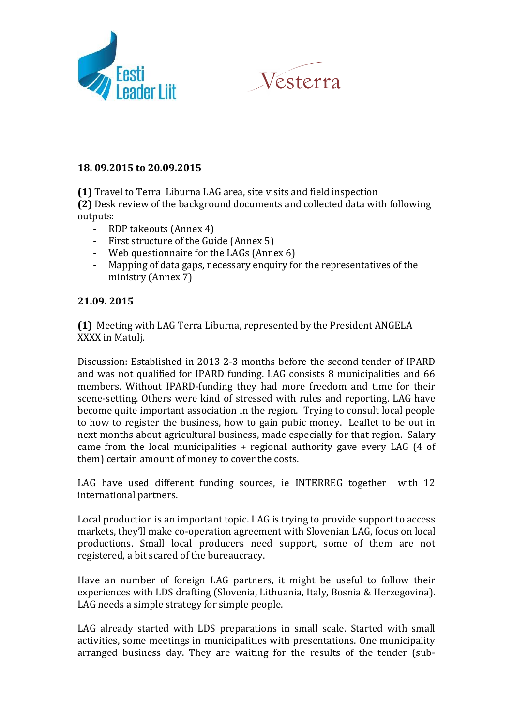



## **18. 09.2015 to 20.09.2015**

**(1)** Travel to Terra Liburna LAG area, site visits and field inspection **(2)** Desk review of the background documents and collected data with following outputs:

- RDP takeouts (Annex 4)
- First structure of the Guide (Annex 5)
- Web questionnaire for the LAGs (Annex 6)
- Mapping of data gaps, necessary enquiry for the representatives of the ministry (Annex 7)

## **21.09. 2015**

**(1)** Meeting with LAG Terra Liburna, represented by the President ANGELA XXXX in Matulj.

Discussion: Established in 2013 2-3 months before the second tender of IPARD and was not qualified for IPARD funding. LAG consists 8 municipalities and 66 members. Without IPARD-funding they had more freedom and time for their scene-setting. Others were kind of stressed with rules and reporting. LAG have become quite important association in the region. Trying to consult local people to how to register the business, how to gain pubic money. Leaflet to be out in next months about agricultural business, made especially for that region. Salary came from the local municipalities + regional authority gave every LAG (4 of them) certain amount of money to cover the costs.

LAG have used different funding sources, ie INTERREG together with 12 international partners.

Local production is an important topic. LAG is trying to provide support to access markets, they'll make co-operation agreement with Slovenian LAG, focus on local productions. Small local producers need support, some of them are not registered, a bit scared of the bureaucracy.

Have an number of foreign LAG partners, it might be useful to follow their experiences with LDS drafting (Slovenia, Lithuania, Italy, Bosnia & Herzegovina). LAG needs a simple strategy for simple people.

LAG already started with LDS preparations in small scale. Started with small activities, some meetings in municipalities with presentations. One municipality arranged business day. They are waiting for the results of the tender (sub-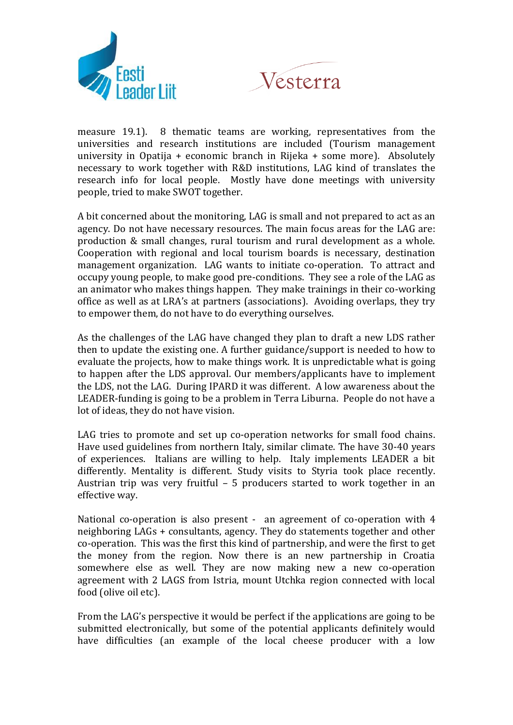



measure 19.1). 8 thematic teams are working, representatives from the universities and research institutions are included (Tourism management university in Opatija + economic branch in Rijeka + some more). Absolutely necessary to work together with R&D institutions, LAG kind of translates the research info for local people. Mostly have done meetings with university people, tried to make SWOT together.

A bit concerned about the monitoring, LAG is small and not prepared to act as an agency. Do not have necessary resources. The main focus areas for the LAG are: production & small changes, rural tourism and rural development as a whole. Cooperation with regional and local tourism boards is necessary, destination management organization. LAG wants to initiate co-operation. To attract and occupy young people, to make good pre-conditions. They see a role of the LAG as an animator who makes things happen. They make trainings in their co-working office as well as at LRA's at partners (associations). Avoiding overlaps, they try to empower them, do not have to do everything ourselves.

As the challenges of the LAG have changed they plan to draft a new LDS rather then to update the existing one. A further guidance/support is needed to how to evaluate the projects, how to make things work. It is unpredictable what is going to happen after the LDS approval. Our members/applicants have to implement the LDS, not the LAG. During IPARD it was different. A low awareness about the LEADER-funding is going to be a problem in Terra Liburna. People do not have a lot of ideas, they do not have vision.

LAG tries to promote and set up co-operation networks for small food chains. Have used guidelines from northern Italy, similar climate. The have 30-40 years of experiences. Italians are willing to help. Italy implements LEADER a bit differently. Mentality is different. Study visits to Styria took place recently. Austrian trip was very fruitful – 5 producers started to work together in an effective way.

National co-operation is also present - an agreement of co-operation with 4 neighboring LAGs + consultants, agency. They do statements together and other co-operation. This was the first this kind of partnership, and were the first to get the money from the region. Now there is an new partnership in Croatia somewhere else as well. They are now making new a new co-operation agreement with 2 LAGS from Istria, mount Utchka region connected with local food (olive oil etc).

From the LAG's perspective it would be perfect if the applications are going to be submitted electronically, but some of the potential applicants definitely would have difficulties (an example of the local cheese producer with a low